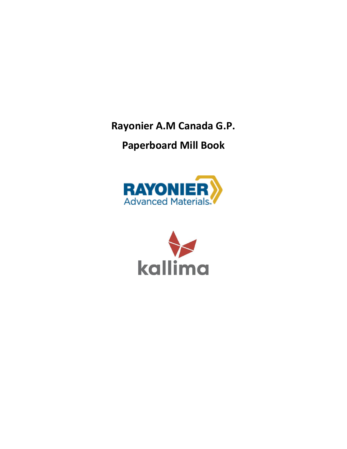**Rayonier A.M Canada G.P.**

# **Paperboard Mill Book**



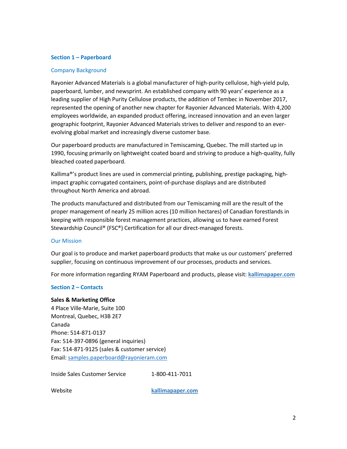## **Section 1 – Paperboard**

## Company Background

Rayonier Advanced Materials is a global manufacturer of high-purity cellulose, high-yield pulp, paperboard, lumber, and newsprint. An established company with 90 years' experience as a leading supplier of High Purity Cellulose products, the addition of Tembec in November 2017, represented the opening of another new chapter for Rayonier Advanced Materials. With 4,200 employees worldwide, an expanded product offering, increased innovation and an even larger geographic footprint, Rayonier Advanced Materials strives to deliver and respond to an everevolving global market and increasingly diverse customer base.

Our paperboard products are manufactured in Temiscaming, Quebec. The mill started up in 1990, focusing primarily on lightweight coated board and striving to produce a high-quality, fully bleached coated paperboard.

Kallima®'s product lines are used in commercial printing, publishing, prestige packaging, highimpact graphic corrugated containers, point-of-purchase displays and are distributed throughout North America and abroad.

The products manufactured and distributed from our Temiscaming mill are the result of the proper management of nearly 25 million acres (10 million hectares) of Canadian forestlands in keeping with responsible forest management practices, allowing us to have earned Forest Stewardship Council® (FSC®) Certification for all our direct-managed forests.

## Our Mission

Our goal is to produce and market paperboard products that make us our customers' preferred supplier, focusing on continuous improvement of our processes, products and services.

For more information regarding RYAM Paperboard and products, please visit: **kallimapaper.com**

## **Section 2 – Contacts**

## **Sales & Marketing Office**

4 Place Ville-Marie, Suite 100 Montreal, Quebec, H3B 2E7 Canada Phone: 514-871-0137 Fax: 514-397-0896 (general inquiries) Fax: 514-871-9125 (sales & customer service) Email: [samples.paperboard@rayonieram.com](mailto:samples.paperboard@rayonieram.com)

Inside Sales Customer Service 1-800-411-7011

Website **kallimapaper.com**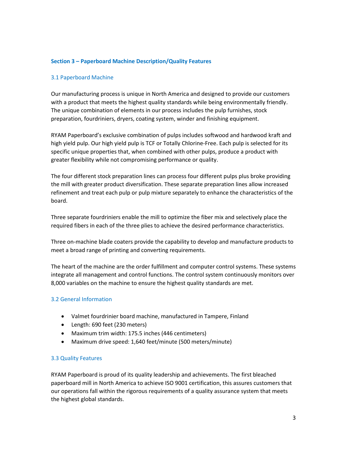## **Section 3 – Paperboard Machine Description/Quality Features**

## 3.1 Paperboard Machine

Our manufacturing process is unique in North America and designed to provide our customers with a product that meets the highest quality standards while being environmentally friendly. The unique combination of elements in our process includes the pulp furnishes, stock preparation, fourdriniers, dryers, coating system, winder and finishing equipment.

RYAM Paperboard's exclusive combination of pulps includes softwood and hardwood kraft and high yield pulp. Our high yield pulp is TCF or Totally Chlorine-Free. Each pulp is selected for its specific unique properties that, when combined with other pulps, produce a product with greater flexibility while not compromising performance or quality.

The four different stock preparation lines can process four different pulps plus broke providing the mill with greater product diversification. These separate preparation lines allow increased refinement and treat each pulp or pulp mixture separately to enhance the characteristics of the board.

Three separate fourdriniers enable the mill to optimize the fiber mix and selectively place the required fibers in each of the three plies to achieve the desired performance characteristics.

Three on-machine blade coaters provide the capability to develop and manufacture products to meet a broad range of printing and converting requirements.

The heart of the machine are the order fulfillment and computer control systems. These systems integrate all management and control functions. The control system continuously monitors over 8,000 variables on the machine to ensure the highest quality standards are met.

## 3.2 General Information

- Valmet fourdrinier board machine, manufactured in Tampere, Finland
- Length: 690 feet (230 meters)
- Maximum trim width: 175.5 inches (446 centimeters)
- Maximum drive speed: 1,640 feet/minute (500 meters/minute)

## 3.3 Quality Features

RYAM Paperboard is proud of its quality leadership and achievements. The first bleached paperboard mill in North America to achieve ISO 9001 certification, this assures customers that our operations fall within the rigorous requirements of a quality assurance system that meets the highest global standards.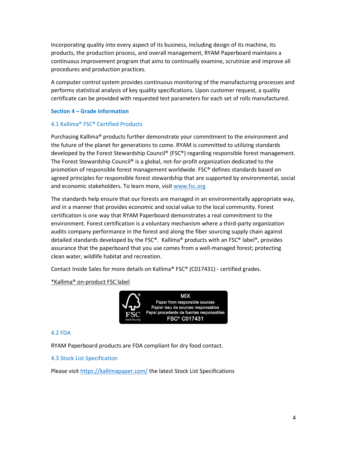Incorporating quality into every aspect of its business, including design of its machine, its products, the production process, and overall management, RYAM Paperboard maintains a continuous improvement program that aims to continually examine, scrutinize and improve all procedures and production practices.

A computer control system provides continuous monitoring of the manufacturing processes and performs statistical analysis of key quality specifications. Upon customer request, a quality certificate can be provided with requested test parameters for each set of rolls manufactured.

## **Section 4 – Grade Information**

## 4.1 Kallima® FSC® Certified Products

Purchasing Kallima® products further demonstrate your commitment to the environment and the future of the planet for generations to come. RYAM is committed to utilizing standards developed by the Forest Stewardship Council® (FSC®) regarding responsible forest management. The Forest Stewardship Council® is a global, not-for-profit organization dedicated to the promotion of responsible forest management worldwide. FSC® defines standards based on agreed principles for responsible forest stewardship that are supported by environmental, social and economic stakeholders. To learn more, visi[t www.fsc.org](http://www.fsc.org/)

The standards help ensure that our forests are managed in an environmentally appropriate way, and in a manner that provides economic and social value to the local community. Forest certification is one way that RYAM Paperboard demonstrates a real commitment to the environment. Forest certification is a voluntary mechanism where a third-party organization audits company performance in the forest and along the fiber sourcing supply chain against detailed standards developed by the FSC®. Kallima® products with an FSC® label\*, provides assurance that the paperboard that you use comes from a well-managed forest; protecting clean water, wildlife habitat and recreation.

Contact Inside Sales for more details on Kallima® FSC® (C017431) - certified grades.

\*Kallima® on-product FSC label



## 4.2 FDA

RYAM Paperboard products are FDA compliant for dry food contact.

4.3 Stock List Specification

Please visi[t https://kallimapaper.com/](https://kallimapaper.com/) the latest Stock List Specifications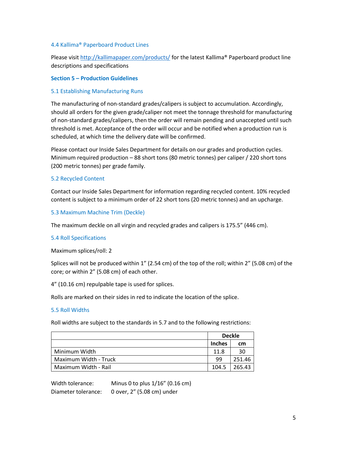## 4.4 Kallima® Paperboard Product Lines

Please visi[t http://kallimapaper.com/products/](http://kallimapaper.com/products/kallima-coated-cover-c1s) for the latest Kallima® Paperboard product line descriptions and specifications

## **Section 5 – Production Guidelines**

## 5.1 Establishing Manufacturing Runs

The manufacturing of non-standard grades/calipers is subject to accumulation. Accordingly, should all orders for the given grade/caliper not meet the tonnage threshold for manufacturing of non-standard grades/calipers, then the order will remain pending and unaccepted until such threshold is met. Acceptance of the order will occur and be notified when a production run is scheduled, at which time the delivery date will be confirmed.

Please contact our Inside Sales Department for details on our grades and production cycles. Minimum required production – 88 short tons (80 metric tonnes) per caliper / 220 short tons (200 metric tonnes) per grade family.

## 5.2 Recycled Content

Contact our Inside Sales Department for information regarding recycled content. 10% recycled content is subject to a minimum order of 22 short tons (20 metric tonnes) and an upcharge.

## 5.3 Maximum Machine Trim (Deckle)

The maximum deckle on all virgin and recycled grades and calipers is 175.5" (446 cm).

## 5.4 Roll Specifications

Maximum splices/roll: 2

Splices will not be produced within 1" (2.54 cm) of the top of the roll; within 2" (5.08 cm) of the core; or within 2" (5.08 cm) of each other.

4" (10.16 cm) repulpable tape is used for splices.

Rolls are marked on their sides in red to indicate the location of the splice.

## 5.5 Roll Widths

Roll widths are subject to the standards in 5.7 and to the following restrictions:

|                       | <b>Deckle</b> |        |
|-----------------------|---------------|--------|
|                       | <b>Inches</b> | cm     |
| Minimum Width         | 11.8          | 30     |
| Maximum Width - Truck | 99            | 251.46 |
| Maximum Width - Rail  | 104.5         | 265.43 |

Width tolerance: Minus 0 to plus 1/16" (0.16 cm) Diameter tolerance: 0 over, 2" (5.08 cm) under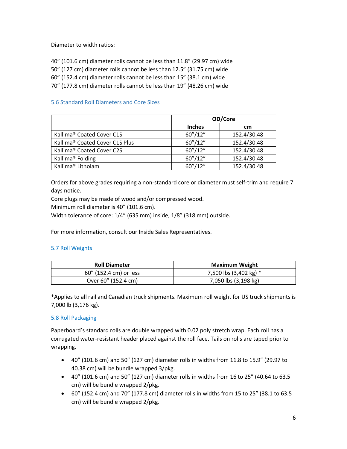Diameter to width ratios:

40" (101.6 cm) diameter rolls cannot be less than 11.8" (29.97 cm) wide

50" (127 cm) diameter rolls cannot be less than 12.5" (31.75 cm) wide

60" (152.4 cm) diameter rolls cannot be less than 15" (38.1 cm) wide

70" (177.8 cm) diameter rolls cannot be less than 19" (48.26 cm) wide

# 5.6 Standard Roll Diameters and Core Sizes

|                                            | OD/Core       |             |  |
|--------------------------------------------|---------------|-------------|--|
|                                            | <b>Inches</b> | cm          |  |
| Kallima <sup>®</sup> Coated Cover C1S      | 60''/12''     | 152.4/30.48 |  |
| Kallima <sup>®</sup> Coated Cover C1S Plus | 60''/12''     | 152.4/30.48 |  |
| Kallima <sup>®</sup> Coated Cover C2S      | 60''/12''     | 152.4/30.48 |  |
| Kallima <sup>®</sup> Folding               | 60''/12''     | 152.4/30.48 |  |
| Kallima <sup>®</sup> Litholam              | 60''/12''     | 152.4/30.48 |  |

Orders for above grades requiring a non-standard core or diameter must self-trim and require 7 days notice.

Core plugs may be made of wood and/or compressed wood.

Minimum roll diameter is 40" (101.6 cm).

Width tolerance of core: 1/4" (635 mm) inside, 1/8" (318 mm) outside.

For more information, consult our Inside Sales Representatives.

## 5.7 Roll Weights

| <b>Roll Diameter</b>   | Maximum Weight         |
|------------------------|------------------------|
| 60" (152.4 cm) or less | 7,500 lbs (3,402 kg) * |
| Over 60" (152.4 cm)    | 7,050 lbs (3,198 kg)   |

\*Applies to all rail and Canadian truck shipments. Maximum roll weight for US truck shipments is 7,000 lb (3,176 kg).

# 5.8 Roll Packaging

Paperboard's standard rolls are double wrapped with 0.02 poly stretch wrap. Each roll has a corrugated water-resistant header placed against the roll face. Tails on rolls are taped prior to wrapping.

- 40" (101.6 cm) and 50" (127 cm) diameter rolls in widths from 11.8 to 15.9" (29.97 to 40.38 cm) will be bundle wrapped 3/pkg.
- 40" (101.6 cm) and 50" (127 cm) diameter rolls in widths from 16 to 25" (40.64 to 63.5 cm) will be bundle wrapped 2/pkg.
- 60" (152.4 cm) and 70" (177.8 cm) diameter rolls in widths from 15 to 25" (38.1 to 63.5 cm) will be bundle wrapped 2/pkg.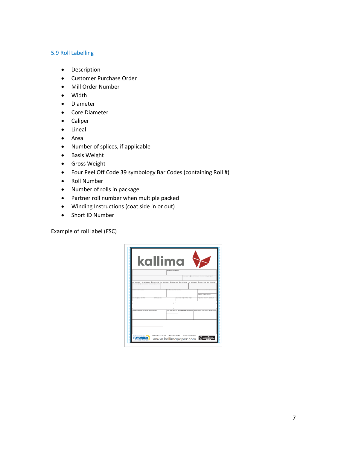## 5.9 Roll Labelling

- Description
- Customer Purchase Order
- Mill Order Number
- Width
- Diameter
- Core Diameter
- Caliper
- Lineal
- Area
- Number of splices, if applicable
- Basis Weight
- Gross Weight
- Four Peel Off Code 39 symbology Bar Codes (containing Roll #)
- Roll Number
- Number of rolls in package
- Partner roll number when multiple packed
- Winding Instructions (coat side in or out)
- Short ID Number

Example of roll label (FSC)

|                                                                                                                                                 |                 | kallima                           |                               |                                                                                     |
|-------------------------------------------------------------------------------------------------------------------------------------------------|-----------------|-----------------------------------|-------------------------------|-------------------------------------------------------------------------------------|
|                                                                                                                                                 |                 | DESCRIPTION / DESCRIPCIÓN         |                               |                                                                                     |
|                                                                                                                                                 |                 |                                   |                               | CORPANDE DU CUENT : CUSTOMER PD / ORDEN DE CORPANDE CUENTS.                         |
| SUNTER THE UNIVERSITY OF UNIVERSE CONTINUES OF UNIVERSE CONTINUES OF UNIVERSE CONTINUES.<br>THE R. P. LEWIS CO., LANSING MICH. 49-14039-1-120-2 |                 |                                   |                               | <b>CHE UNWIND</b>                                                                   |
| ARGEA / WEITH / ANGHO                                                                                                                           |                 | CANNETSKI / CANNETSKI / CANNETSCI |                               | BANEN MINUTER MARTIN TRAFFIC DE NOVE                                                |
| <b>INVESTIGATIONS</b>                                                                                                                           | SUSTAINOR LANGA |                                   | CANNING / ENGINE / FOUNDATION | <b>Glaubratum / Casarca / Garnona</b><br>PODS BILT / CROSSW1 / RSD BILTC:           |
|                                                                                                                                                 |                 | n r                               |                               |                                                                                     |
| ALPENO DE ROULEAU / ROLL NUMBER / NÚMERO DE ROLLO                                                                                               |                 | J L<br>COURT PEG / ANGUETTE       |                               | <b>BETAINING PAILART INFINANCIAL ENGINEERS COURT / BASIET NUMBER / NOMBER CONTI</b> |
|                                                                                                                                                 |                 |                                   |                               |                                                                                     |
|                                                                                                                                                 |                 |                                   |                               |                                                                                     |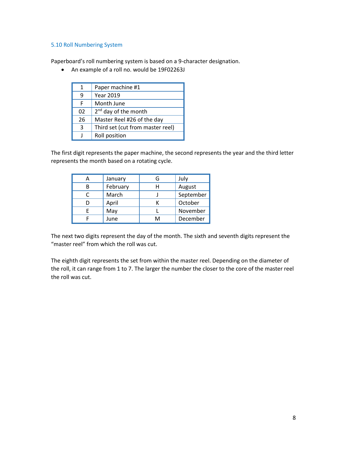## 5.10 Roll Numbering System

Paperboard's roll numbering system is based on a 9-character designation.

• An example of a roll no. would be 19F02263J

| 1  | Paper machine #1                 |
|----|----------------------------------|
| q  | <b>Year 2019</b>                 |
| F  | Month June                       |
| 02 | 2 <sup>nd</sup> day of the month |
| 26 | Master Reel #26 of the day       |
| 3  | Third set (cut from master reel) |
|    | Roll position                    |

The first digit represents the paper machine, the second represents the year and the third letter represents the month based on a rotating cycle.

|   | January  | G | July      |
|---|----------|---|-----------|
| В | February | н | August    |
|   | March    |   | September |
|   | April    |   | October   |
| F | May      |   | November  |
|   | June     | м | December  |

The next two digits represent the day of the month. The sixth and seventh digits represent the "master reel" from which the roll was cut.

The eighth digit represents the set from within the master reel. Depending on the diameter of the roll, it can range from 1 to 7. The larger the number the closer to the core of the master reel the roll was cut.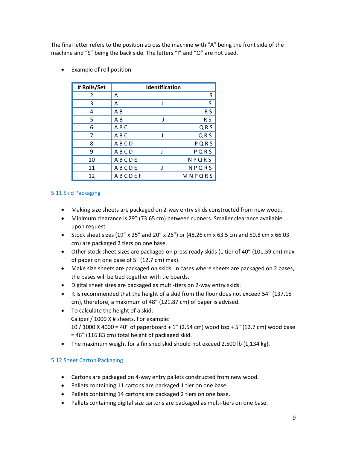The final letter refers to the position across the machine with "A" being the front side of the machine and "S" being the back side. The letters "I" and "O" are not used.

- **# Rolls/Set Identification** 2  $|A$  S  $3 \mid A$  J S  $\begin{array}{c|c}\n 4 & | & AB\n \end{array}$  RS  $5$   $AB$  J RS  $6$   $AB$  C  $QR$  S 7 | A B C G N G N Q R S 8 | A B C D P Q R S 9 A B CD J P Q R S 10 | A B C D E N P Q R S 11 | A B C D E J N P Q R S 12 A B C D E F M N P Q R S
- Example of roll position

# 5.11 Skid Packaging

- Making size sheets are packaged on 2-way entry skids constructed from new wood.
- Minimum clearance is 29" (73.65 cm) between runners. Smaller clearance available upon request.
- Stock sheet sizes (19" x 25" and 20" x 26") or (48.26 cm x 63.5 cm and 50.8 cm x 66.03 cm) are packaged 2 tiers on one base.
- Other stock sheet sizes are packaged on press ready skids (1 tier of 40" (101.59 cm) max of paper on one base of 5" (12.7 cm) max).
- Make size sheets are packaged on skids. In cases where sheets are packaged on 2 bases, the bases will be tied together with tie boards.
- Digital sheet sizes are packaged as multi-tiers on 2-way entry skids.
- It is recommended that the height of a skid from the floor does not exceed 54" (137.15 cm), therefore, a maximum of 48" (121.87 cm) of paper is advised.
- To calculate the height of a skid: Caliper / 1000 X # sheets. For example: 10 / 1000 X 4000 = 40" of paperboard + 1" (2.54 cm) wood top + 5" (12.7 cm) wood base = 46" (116.83 cm) total height of packaged skid.
- The maximum weight for a finished skid should not exceed 2,500 lb (1,134 kg).

# 5.12 Sheet Carton Packaging

- Cartons are packaged on 4-way entry pallets constructed from new wood.
- Pallets containing 11 cartons are packaged 1 tier on one base.
- Pallets containing 14 cartons are packaged 2 tiers on one base.
- Pallets containing digital size cartons are packaged as multi-tiers on one base.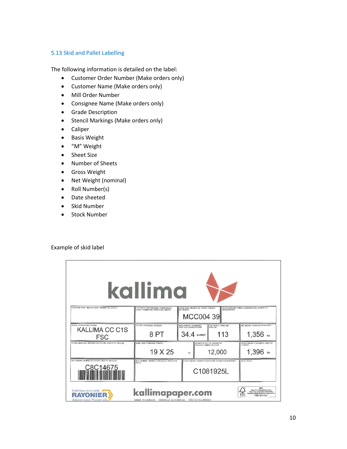# 5.13 Skid and Pallet Labelling

The following information is detailed on the label:

- Customer Order Number (Make orders only)
- Customer Name (Make orders only)
- Mill Order Number
- Consignee Name (Make orders only)
- Grade Description
- Stencil Markings (Make orders only)
- Caliper
- Basis Weight
- "M" Weight
- Sheet Size
- Number of Sheets
- Gross Weight
- Net Weight (nominal)
- Roll Number(s)
- Date sheeted
- Skid Number
- Stock Number

## Example of skid label

|                                                                                                                                                                                                                                                                                                           | kallima                                                                       |                                                                        |                                                                        |                                                                     |
|-----------------------------------------------------------------------------------------------------------------------------------------------------------------------------------------------------------------------------------------------------------------------------------------------------------|-------------------------------------------------------------------------------|------------------------------------------------------------------------|------------------------------------------------------------------------|---------------------------------------------------------------------|
| CUSTOMER NAME / NOM DU CLIENT / NOMBRE DEL CLIENTE                                                                                                                                                                                                                                                        | CUSTOMER ORDER NUMBER / COMMANDE DU<br>CLIENT / NÚMERO DE PERDIDO DEL CLIENTE | JOB NUMBER / NUMERO DE TRAVAIL / NÚMERO<br>DE TRABAJO<br>MCC004 39     | CONSIGNATARIO                                                          | CONSIGNEE NAME / NOM DU CONSIGNATAIRE / NOMBRE DEL                  |
| GRADE / DESCRIPTION / CALIDAD<br><b>KALLIMA CC C1S</b><br>FSC                                                                                                                                                                                                                                             | CALIPER / ÉPAISSEUR / ESPESOR<br>8 <sub>PT</sub>                              | BASIS WEIGHT / GRAMMAGE /<br>PESO DE LA RESMA DE PAPEL<br>34.4 Ibs/MSF | «M» WEIGHT / POIDS <m>/&gt;<m>/<br/>PESO «M»<br/>113</m></m>           | NET WEIGHT / POIDS NET / PESO NETO<br>$1,356$ bs                    |
| STENCIL MARKINGS / MARQUES DE POCHOIR / MARCAS DE TROQUEL                                                                                                                                                                                                                                                 | SHEET SIZE / DIMENSION / TAMANO<br>19 X 25                                    | in.                                                                    | NUMBER OF SHEETS / NOMBRE DE<br>FEUILLES / NÚMERO DE HOJAS<br>12,000   | GROSS WEIGHT / POIDS BRUT / PESO DE<br><b>LA RESIAA</b><br>1,396 bs |
| SKID NUMBER / NUMÉRO DE PLATEAU / NÚMERO TRONCOS<br><u>C8C14675</u>                                                                                                                                                                                                                                       | ROLL NUMBER / NUMÉRO DE ROULEAU / NÚMERO DE<br><b>ROLLO</b>                   |                                                                        | STOCK NUMBER / NUMÉRO D'INVENTAIRE / NÚMERO DE INVENTAIRO<br>C1081925L | DATE / FECHA                                                        |
| MIX<br>kallimapaper.com<br>Paper from responsible sources<br>Matériaux innovants<br>Pagier issu de sources responsables<br>Papel procedente de Rentes responsables<br>AVONIER<br><b>FSC</b><br>FSC* 0017431<br>WAAT NE<br><b>Advanced Materials.</b><br>MADE IN CANADA FABRIQUÉ AU CANADA HECHO EN CANADA |                                                                               |                                                                        |                                                                        |                                                                     |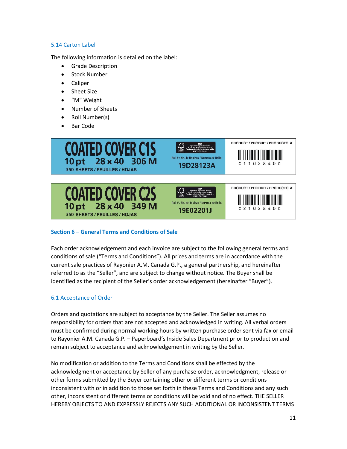# 5.14 Carton Label

The following information is detailed on the label:

- Grade Description
- Stock Number
- Caliper
- Sheet Size
- "M" Weight
- Number of Sheets
- Roll Number(s)
- Bar Code



# **Section 6 – General Terms and Conditions of Sale**

Each order acknowledgement and each invoice are subject to the following general terms and conditions of sale ("Terms and Conditions"). All prices and terms are in accordance with the current sale practices of Rayonier A.M. Canada G.P., a general partnership, and hereinafter referred to as the "Seller", and are subject to change without notice. The Buyer shall be identified as the recipient of the Seller's order acknowledgement (hereinafter "Buyer").

# 6.1 Acceptance of Order

Orders and quotations are subject to acceptance by the Seller. The Seller assumes no responsibility for orders that are not accepted and acknowledged in writing. All verbal orders must be confirmed during normal working hours by written purchase order sent via fax or email to Rayonier A.M. Canada G.P. – Paperboard's Inside Sales Department prior to production and remain subject to acceptance and acknowledgement in writing by the Seller.

No modification or addition to the Terms and Conditions shall be effected by the acknowledgment or acceptance by Seller of any purchase order, acknowledgment, release or other forms submitted by the Buyer containing other or different terms or conditions inconsistent with or in addition to those set forth in these Terms and Conditions and any such other, inconsistent or different terms or conditions will be void and of no effect. THE SELLER HEREBY OBJECTS TO AND EXPRESSLY REJECTS ANY SUCH ADDITIONAL OR INCONSISTENT TERMS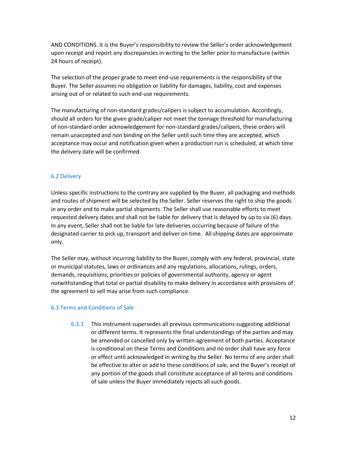AND CONDITIONS. It is the Buyer's responsibility to review the Seller's order acknowledgement upon receipt and report any discrepancies in writing to the Seller prior to manufacture (within 24 hours of receipt).

The selection of the proper grade to meet end-use requirements is the responsibility of the Buyer. The Seller assumes no obligation or liability for damages, liability, cost and expenses arising out of or related to such end-use requirements.

The manufacturing of non-standard grades/calipers is subject to accumulation. Accordingly, should all orders for the given grade/caliper not meet the tonnage threshold for manufacturing of non-standard order acknowledgement for non-standard grades/calipers, these orders will remain unaccepted and non binding on the Seller until such time they are accepted, which acceptance may occur and notification given when a production run is scheduled, at which time the delivery date will be confirmed.

# 6.2 Delivery

Unless specific instructions to the contrary are supplied by the Buyer, all packaging and methods and routes of shipment will be selected by the Seller. Seller reserves the right to ship the goods in any order and to make partial shipments. The Seller shall use reasonable efforts to meet requested delivery dates and shall not be liable for delivery that is delayed by up to six (6) days. In any event, Seller shall not be liable for late deliveries occurring because of failure of the designated carrier to pick up, transport and deliver on time. All shipping dates are approximate only.

The Seller may, without incurring liability to the Buyer, comply with any federal, provincial, state or municipal statutes, laws or ordinances and any regulations, allocations, rulings, orders, demands, requisitions, priorities or policies of governmental authority, agency or agent notwithstanding that total or partial disability to make delivery in accordance with provisions of the agreement to sell may arise from such compliance.

# 6.3 Terms and Conditions of Sale

6.3.1 This instrument supersedes all previous communications suggesting additional or different terms. It represents the final understandings of the parties and may be amended or cancelled only by written agreement of both parties. Acceptance is conditional on these Terms and Conditions and no order shall have any force or effect until acknowledged in writing by the Seller. No terms of any order shall be effective to alter or add to these conditions of sale, and the Buyer's receipt of any portion of the goods shall constitute acceptance of all terms and conditions of sale unless the Buyer immediately rejects all such goods.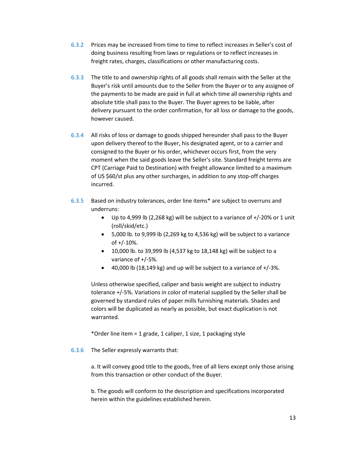- 6.3.2 Prices may be increased from time to time to reflect increases in Seller's cost of doing business resulting from laws or regulations or to reflect increases in freight rates, charges, classifications or other manufacturing costs.
- 6.3.3 The title to and ownership rights of all goods shall remain with the Seller at the Buyer's risk until amounts due to the Seller from the Buyer or to any assignee of the payments to be made are paid in full at which time all ownership rights and absolute title shall pass to the Buyer. The Buyer agrees to be liable, after delivery pursuant to the order confirmation, for all loss or damage to the goods, however caused.
- 6.3.4 All risks of loss or damage to goods shipped hereunder shall pass to the Buyer upon delivery thereof to the Buyer, his designated agent, or to a carrier and consigned to the Buyer or his order, whichever occurs first, from the very moment when the said goods leave the Seller's site. Standard freight terms are CPT (Carriage Paid to Destination) with freight allowance limited to a maximum of US \$60/st plus any other surcharges, in addition to any stop-off charges incurred.
- 6.3.5 Based on industry tolerances, order line items\* are subject to overruns and underruns:
	- Up to 4,999 lb (2,268 kg) will be subject to a variance of +/-20% or 1 unit (roll/skid/etc.)
	- 5,000 lb. to 9,999 lb (2,269 kg to 4,536 kg) will be subject to a variance of +/-10%.
	- $\bullet$  10,000 lb. to 39,999 lb (4,537 kg to 18,148 kg) will be subject to a variance of +/-5%.
	- 40,000 lb (18,149 kg) and up will be subject to a variance of  $+/-3\%$ .

Unless otherwise specified, caliper and basis weight are subject to industry tolerance +/-5%. Variations in color of material supplied by the Seller shall be governed by standard rules of paper mills furnishing materials. Shades and colors will be duplicated as nearly as possible, but exact duplication is not warranted.

\*Order line item = 1 grade, 1 caliper, 1 size, 1 packaging style

6.3.6 The Seller expressly warrants that:

a. It will convey good title to the goods, free of all liens except only those arising from this transaction or other conduct of the Buyer.

b. The goods will conform to the description and specifications incorporated herein within the guidelines established herein.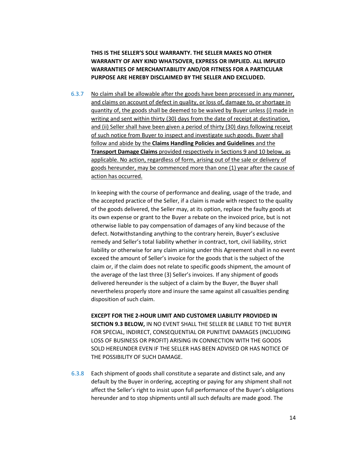**THIS IS THE SELLER'S SOLE WARRANTY. THE SELLER MAKES NO OTHER WARRANTY OF ANY KIND WHATSOVER, EXPRESS OR IMPLIED. ALL IMPLIED WARRANTIES OF MERCHANTABILITY AND/OR FITNESS FOR A PARTICULAR PURPOSE ARE HEREBY DISCLAIMED BY THE SELLER AND EXCLUDED.**

6.3.7 No claim shall be allowable after the goods have been processed in any manner, and claims on account of defect in quality, or loss of, damage to, or shortage in quantity of, the goods shall be deemed to be waived by Buyer unless (i) made in writing and sent within thirty (30) days from the date of receipt at destination, and (ii) Seller shall have been given a period of thirty (30) days following receipt of such notice from Buyer to inspect and investigate such goods. Buyer shall follow and abide by the **Claims Handling Policies and Guidelines** and the **Transport Damage Claims** provided respectively in Sections 9 and 10 below, as applicable. No action, regardless of form, arising out of the sale or delivery of goods hereunder, may be commenced more than one (1) year after the cause of action has occurred.

In keeping with the course of performance and dealing, usage of the trade, and the accepted practice of the Seller, if a claim is made with respect to the quality of the goods delivered, the Seller may, at its option, replace the faulty goods at its own expense or grant to the Buyer a rebate on the invoiced price, but is not otherwise liable to pay compensation of damages of any kind because of the defect. Notwithstanding anything to the contrary herein, Buyer's exclusive remedy and Seller's total liability whether in contract, tort, civil liability, strict liability or otherwise for any claim arising under this Agreement shall in no event exceed the amount of Seller's invoice for the goods that is the subject of the claim or, if the claim does not relate to specific goods shipment, the amount of the average of the last three (3) Seller's invoices. If any shipment of goods delivered hereunder is the subject of a claim by the Buyer, the Buyer shall nevertheless properly store and insure the same against all casualties pending disposition of such claim.

**EXCEPT FOR THE 2-HOUR LIMIT AND CUSTOMER LIABILITY PROVIDED IN SECTION 9.3 BELOW,** IN NO EVENT SHALL THE SELLER BE LIABLE TO THE BUYER FOR SPECIAL, INDIRECT, CONSEQUENTIAL OR PUNITIVE DAMAGES (INCLUDING LOSS OF BUSINESS OR PROFIT) ARISING IN CONNECTION WITH THE GOODS SOLD HEREUNDER EVEN IF THE SELLER HAS BEEN ADVISED OR HAS NOTICE OF THE POSSIBILITY OF SUCH DAMAGE.

6.3.8 Each shipment of goods shall constitute a separate and distinct sale, and any default by the Buyer in ordering, accepting or paying for any shipment shall not affect the Seller's right to insist upon full performance of the Buyer's obligations hereunder and to stop shipments until all such defaults are made good. The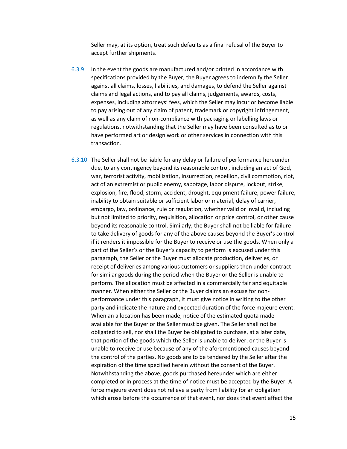Seller may, at its option, treat such defaults as a final refusal of the Buyer to accept further shipments.

- 6.3.9 In the event the goods are manufactured and/or printed in accordance with specifications provided by the Buyer, the Buyer agrees to indemnify the Seller against all claims, losses, liabilities, and damages, to defend the Seller against claims and legal actions, and to pay all claims, judgements, awards, costs, expenses, including attorneys' fees, which the Seller may incur or become liable to pay arising out of any claim of patent, trademark or copyright infringement, as well as any claim of non-compliance with packaging or labelling laws or regulations, notwithstanding that the Seller may have been consulted as to or have performed art or design work or other services in connection with this transaction.
- 6.3.10 The Seller shall not be liable for any delay or failure of performance hereunder due, to any contingency beyond its reasonable control, including an act of God, war, terrorist activity, mobilization, insurrection, rebellion, civil commotion, riot, act of an extremist or public enemy, sabotage, labor dispute, lockout, strike, explosion, fire, flood, storm, accident, drought, equipment failure, power failure, inability to obtain suitable or sufficient labor or material, delay of carrier, embargo, law, ordinance, rule or regulation, whether valid or invalid, including but not limited to priority, requisition, allocation or price control, or other cause beyond its reasonable control. Similarly, the Buyer shall not be liable for failure to take delivery of goods for any of the above causes beyond the Buyer's control if it renders it impossible for the Buyer to receive or use the goods. When only a part of the Seller's or the Buyer's capacity to perform is excused under this paragraph, the Seller or the Buyer must allocate production, deliveries, or receipt of deliveries among various customers or suppliers then under contract for similar goods during the period when the Buyer or the Seller is unable to perform. The allocation must be affected in a commercially fair and equitable manner. When either the Seller or the Buyer claims an excuse for nonperformance under this paragraph, it must give notice in writing to the other party and indicate the nature and expected duration of the force majeure event. When an allocation has been made, notice of the estimated quota made available for the Buyer or the Seller must be given. The Seller shall not be obligated to sell, nor shall the Buyer be obligated to purchase, at a later date, that portion of the goods which the Seller is unable to deliver, or the Buyer is unable to receive or use because of any of the aforementioned causes beyond the control of the parties. No goods are to be tendered by the Seller after the expiration of the time specified herein without the consent of the Buyer. Notwithstanding the above, goods purchased hereunder which are either completed or in process at the time of notice must be accepted by the Buyer. A force majeure event does not relieve a party from liability for an obligation which arose before the occurrence of that event, nor does that event affect the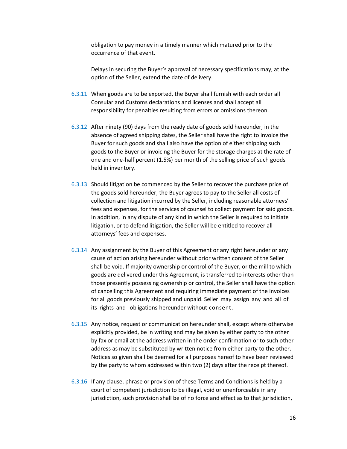obligation to pay money in a timely manner which matured prior to the occurrence of that event.

Delays in securing the Buyer's approval of necessary specifications may, at the option of the Seller, extend the date of delivery.

- 6.3.11 When goods are to be exported, the Buyer shall furnish with each order all Consular and Customs declarations and licenses and shall accept all responsibility for penalties resulting from errors or omissions thereon.
- 6.3.12 After ninety (90) days from the ready date of goods sold hereunder, in the absence of agreed shipping dates, the Seller shall have the right to invoice the Buyer for such goods and shall also have the option of either shipping such goods to the Buyer or invoicing the Buyer for the storage charges at the rate of one and one-half percent (1.5%) per month of the selling price of such goods held in inventory.
- 6.3.13 Should litigation be commenced by the Seller to recover the purchase price of the goods sold hereunder, the Buyer agrees to pay to the Seller all costs of collection and litigation incurred by the Seller, including reasonable attorneys' fees and expenses, for the services of counsel to collect payment for said goods. In addition, in any dispute of any kind in which the Seller is required to initiate litigation, or to defend litigation, the Seller will be entitled to recover all attorneys' fees and expenses.
- 6.3.14 Any assignment by the Buyer of this Agreement or any right hereunder or any cause of action arising hereunder without prior written consent of the Seller shall be void. If majority ownership or control of the Buyer, or the mill to which goods are delivered under this Agreement, is transferred to interests other than those presently possessing ownership or control, the Seller shall have the option of cancelling this Agreement and requiring immediate payment of the invoices for all goods previously shipped and unpaid. Seller may assign any and all of its rights and obligations hereunder without consent.
- 6.3.15 Any notice, request or communication hereunder shall, except where otherwise explicitly provided, be in writing and may be given by either party to the other by fax or email at the address written in the order confirmation or to such other address as may be substituted by written notice from either party to the other. Notices so given shall be deemed for all purposes hereof to have been reviewed by the party to whom addressed within two (2) days after the receipt thereof.
- 6.3.16 If any clause, phrase or provision of these Terms and Conditions is held by a court of competent jurisdiction to be illegal, void or unenforceable in any jurisdiction, such provision shall be of no force and effect as to that jurisdiction,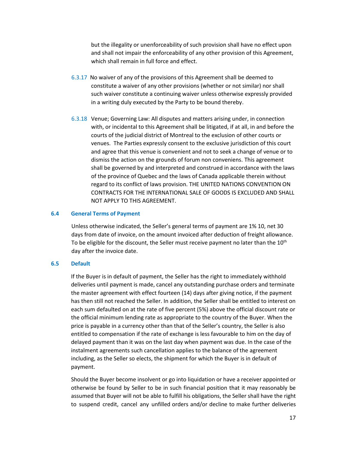but the illegality or unenforceability of such provision shall have no effect upon and shall not impair the enforceability of any other provision of this Agreement, which shall remain in full force and effect.

- 6.3.17 No waiver of any of the provisions of this Agreement shall be deemed to constitute a waiver of any other provisions (whether or not similar) nor shall such waiver constitute a continuing waiver unless otherwise expressly provided in a writing duly executed by the Party to be bound thereby.
- 6.3.18 Venue; Governing Law: All disputes and matters arising under, in connection with, or incidental to this Agreement shall be litigated, if at all, in and before the courts of the judicial district of Montreal to the exclusion of other courts or venues. The Parties expressly consent to the exclusive jurisdiction of this court and agree that this venue is convenient and not to seek a change of venue or to dismiss the action on the grounds of forum non conveniens. This agreement shall be governed by and interpreted and construed in accordance with the laws of the province of Quebec and the laws of Canada applicable therein without regard to its conflict of laws provision. THE UNITED NATIONS CONVENTION ON CONTRACTS FOR THE INTERNATIONAL SALE OF GOODS IS EXCLUDED AND SHALL NOT APPLY TO THIS AGREEMENT.

#### **6.4 General Terms of Payment**

Unless otherwise indicated, the Seller's general terms of payment are 1% 10, net 30 days from date of invoice, on the amount invoiced after deduction of freight allowance. To be eligible for the discount, the Seller must receive payment no later than the 10<sup>th</sup> day after the invoice date.

#### **6.5 Default**

If the Buyer is in default of payment, the Seller has the right to immediately withhold deliveries until payment is made, cancel any outstanding purchase orders and terminate the master agreement with effect fourteen (14) days after giving notice, if the payment has then still not reached the Seller. In addition, the Seller shall be entitled to interest on each sum defaulted on at the rate of five percent (5%) above the official discount rate or the official minimum lending rate as appropriate to the country of the Buyer. When the price is payable in a currency other than that of the Seller's country, the Seller is also entitled to compensation if the rate of exchange is less favourable to him on the day of delayed payment than it was on the last day when payment was due. In the case of the instalment agreements such cancellation applies to the balance of the agreement including, as the Seller so elects, the shipment for which the Buyer is in default of payment.

Should the Buyer become insolvent or go into liquidation or have a receiver appointed or otherwise be found by Seller to be in such financial position that it may reasonably be assumed that Buyer will not be able to fulfill his obligations, the Seller shall have the right to suspend credit, cancel any unfilled orders and/or decline to make further deliveries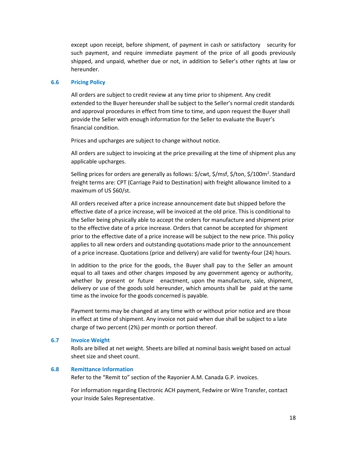except upon receipt, before shipment, of payment in cash or satisfactory security for such payment, and require immediate payment of the price of all goods previously shipped, and unpaid, whether due or not, in addition to Seller's other rights at law or hereunder.

## **6.6 Pricing Policy**

All orders are subject to credit review at any time prior to shipment. Any credit extended to the Buyer hereunder shall be subject to the Seller's normal credit standards and approval procedures in effect from time to time, and upon request the Buyer shall provide the Seller with enough information for the Seller to evaluate the Buyer's financial condition.

Prices and upcharges are subject to change without notice.

All orders are subject to invoicing at the price prevailing at the time of shipment plus any applicable upcharges.

Selling prices for orders are generally as follows: \$/cwt, \$/msf, \$/ton, \$/100m<sup>2</sup>. Standard freight terms are: CPT (Carriage Paid to Destination) with freight allowance limited to a maximum of US \$60/st.

All orders received after a price increase announcement date but shipped before the effective date of a price increase, will be invoiced at the old price. This is conditional to the Seller being physically able to accept the orders for manufacture and shipment prior to the effective date of a price increase. Orders that cannot be accepted for shipment prior to the effective date of a price increase will be subject to the new price. This policy applies to all new orders and outstanding quotations made prior to the announcement of a price increase. Quotations (price and delivery) are valid for twenty-four (24) hours.

In addition to the price for the goods, the Buyer shall pay to the Seller an amount equal to all taxes and other charges imposed by any government agency or authority, whether by present or future enactment, upon the manufacture, sale, shipment, delivery or use of the goods sold hereunder, which amounts shall be paid at the same time as the invoice for the goods concerned is payable.

Payment terms may be changed at any time with or without prior notice and are those in effect at time of shipment. Any invoice not paid when due shall be subject to a late charge of two percent (2%) per month or portion thereof.

## **6.7 Invoice Weight**

Rolls are billed at net weight. Sheets are billed at nominal basis weight based on actual sheet size and sheet count.

## **6.8 Remittance Information**

Refer to the "Remit to" section of the Rayonier A.M. Canada G.P. invoices.

For information regarding Electronic ACH payment, Fedwire or Wire Transfer, contact your Inside Sales Representative.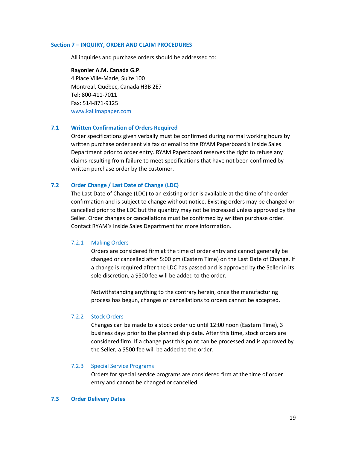#### **Section 7 – INQUIRY, ORDER AND CLAIM PROCEDURES**

All inquiries and purchase orders should be addressed to:

**Rayonier A.M. Canada G.P**. 4 Place Ville-Marie, Suite 100 Montreal, Québec, Canada H3B 2E7 Tel: 800-411-7011 Fax: 514-871-9125 [www.kallimapaper.com](http://www.kallimapaper.com/)

## **7.1 Written Confirmation of Orders Required**

Order specifications given verbally must be confirmed during normal working hours by written purchase order sent via fax or email to the RYAM Paperboard's Inside Sales Department prior to order entry. RYAM Paperboard reserves the right to refuse any claims resulting from failure to meet specifications that have not been confirmed by written purchase order by the customer.

## **7.2 Order Change / Last Date of Change (LDC)**

The Last Date of Change (LDC) to an existing order is available at the time of the order confirmation and is subject to change without notice. Existing orders may be changed or cancelled prior to the LDC but the quantity may not be increased unless approved by the Seller. Order changes or cancellations must be confirmed by written purchase order. Contact RYAM's Inside Sales Department for more information.

## 7.2.1 Making Orders

Orders are considered firm at the time of order entry and cannot generally be changed or cancelled after 5:00 pm (Eastern Time) on the Last Date of Change. If a change is required after the LDC has passed and is approved by the Seller in its sole discretion, a \$500 fee will be added to the order.

Notwithstanding anything to the contrary herein, once the manufacturing process has begun, changes or cancellations to orders cannot be accepted.

## 7.2.2 Stock Orders

Changes can be made to a stock order up until 12:00 noon (Eastern Time), 3 business days prior to the planned ship date. After this time, stock orders are considered firm. If a change past this point can be processed and is approved by the Seller, a \$500 fee will be added to the order.

#### 7.2.3 Special Service Programs

Orders for special service programs are considered firm at the time of order entry and cannot be changed or cancelled.

## **7.3 Order Delivery Dates**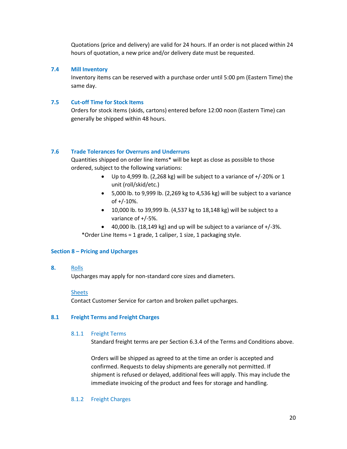Quotations (price and delivery) are valid for 24 hours. If an order is not placed within 24 hours of quotation, a new price and/or delivery date must be requested.

## **7.4 Mill Inventory**

Inventory items can be reserved with a purchase order until 5:00 pm (Eastern Time) the same day.

## **7.5 Cut-off Time for Stock Items**

Orders for stock items (skids, cartons) entered before 12:00 noon (Eastern Time) can generally be shipped within 48 hours.

## **7.6 Trade Tolerances for Overruns and Underruns**

Quantities shipped on order line items\* will be kept as close as possible to those ordered, subject to the following variations:

- Up to 4,999 lb. (2,268 kg) will be subject to a variance of  $+/-20\%$  or 1 unit (roll/skid/etc.)
- 5,000 lb. to 9,999 lb. (2,269 kg to 4,536 kg) will be subject to a variance of  $+/-10%$ .
- 10,000 lb. to 39,999 lb. (4,537 kg to 18,148 kg) will be subject to a variance of +/-5%.
- $\bullet$  40,000 lb. (18,149 kg) and up will be subject to a variance of  $+/-3\%$ .

\*Order Line Items = 1 grade, 1 caliper, 1 size, 1 packaging style.

## **Section 8 – Pricing and Upcharges**

**8.** Rolls

Upcharges may apply for non-standard core sizes and diameters.

## Sheets

Contact Customer Service for carton and broken pallet upcharges.

## **8.1 Freight Terms and Freight Charges**

## 8.1.1 Freight Terms

Standard freight terms are per Section 6.3.4 of the Terms and Conditions above.

Orders will be shipped as agreed to at the time an order is accepted and confirmed. Requests to delay shipments are generally not permitted. If shipment is refused or delayed, additional fees will apply. This may include the immediate invoicing of the product and fees for storage and handling.

## 8.1.2 Freight Charges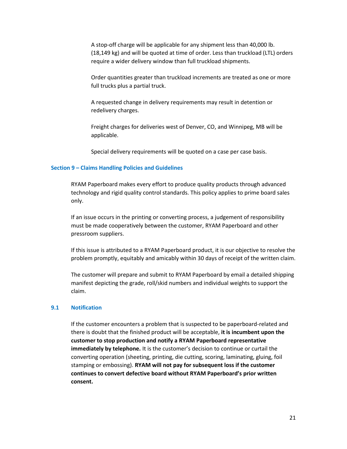A stop-off charge will be applicable for any shipment less than 40,000 lb. (18,149 kg) and will be quoted at time of order. Less than truckload (LTL) orders require a wider delivery window than full truckload shipments.

Order quantities greater than truckload increments are treated as one or more full trucks plus a partial truck.

A requested change in delivery requirements may result in detention or redelivery charges.

Freight charges for deliveries west of Denver, CO, and Winnipeg, MB will be applicable.

Special delivery requirements will be quoted on a case per case basis.

## **Section 9 – Claims Handling Policies and Guidelines**

RYAM Paperboard makes every effort to produce quality products through advanced technology and rigid quality control standards. This policy applies to prime board sales only.

If an issue occurs in the printing or converting process, a judgement of responsibility must be made cooperatively between the customer, RYAM Paperboard and other pressroom suppliers.

If this issue is attributed to a RYAM Paperboard product, it is our objective to resolve the problem promptly, equitably and amicably within 30 days of receipt of the written claim.

The customer will prepare and submit to RYAM Paperboard by email a detailed shipping manifest depicting the grade, roll/skid numbers and individual weights to support the claim.

#### **9.1 Notification**

If the customer encounters a problem that is suspected to be paperboard-related and there is doubt that the finished product will be acceptable, **it is incumbent upon the customer to stop production and notify a RYAM Paperboard representative immediately by telephone.** It is the customer's decision to continue or curtail the converting operation (sheeting, printing, die cutting, scoring, laminating, gluing, foil stamping or embossing). **RYAM will not pay for subsequent loss if the customer continues to convert defective board without RYAM Paperboard's prior written consent.**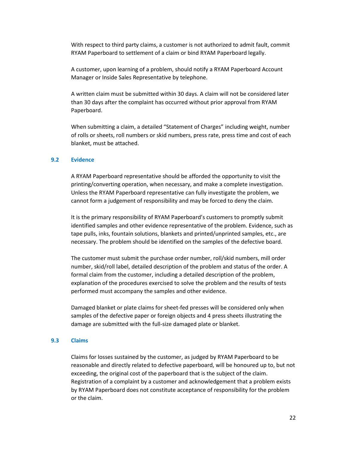With respect to third party claims, a customer is not authorized to admit fault, commit RYAM Paperboard to settlement of a claim or bind RYAM Paperboard legally.

A customer, upon learning of a problem, should notify a RYAM Paperboard Account Manager or Inside Sales Representative by telephone.

A written claim must be submitted within 30 days. A claim will not be considered later than 30 days after the complaint has occurred without prior approval from RYAM Paperboard.

When submitting a claim, a detailed "Statement of Charges" including weight, number of rolls or sheets, roll numbers or skid numbers, press rate, press time and cost of each blanket, must be attached.

## **9.2 Evidence**

A RYAM Paperboard representative should be afforded the opportunity to visit the printing/converting operation, when necessary, and make a complete investigation. Unless the RYAM Paperboard representative can fully investigate the problem, we cannot form a judgement of responsibility and may be forced to deny the claim.

It is the primary responsibility of RYAM Paperboard's customers to promptly submit identified samples and other evidence representative of the problem. Evidence, such as tape pulls, inks, fountain solutions, blankets and printed/unprinted samples, etc., are necessary. The problem should be identified on the samples of the defective board.

The customer must submit the purchase order number, roll/skid numbers, mill order number, skid/roll label, detailed description of the problem and status of the order. A formal claim from the customer, including a detailed description of the problem, explanation of the procedures exercised to solve the problem and the results of tests performed must accompany the samples and other evidence.

Damaged blanket or plate claims for sheet-fed presses will be considered only when samples of the defective paper or foreign objects and 4 press sheets illustrating the damage are submitted with the full-size damaged plate or blanket.

#### **9.3 Claims**

Claims for losses sustained by the customer, as judged by RYAM Paperboard to be reasonable and directly related to defective paperboard, will be honoured up to, but not exceeding, the original cost of the paperboard that is the subject of the claim. Registration of a complaint by a customer and acknowledgement that a problem exists by RYAM Paperboard does not constitute acceptance of responsibility for the problem or the claim.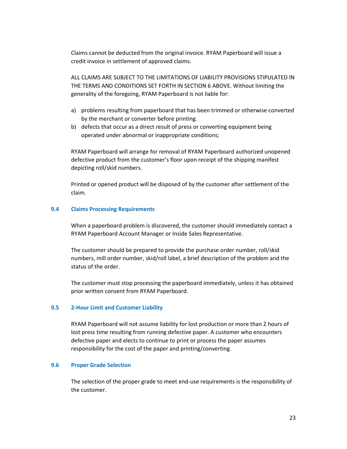Claims cannot be deducted from the original invoice. RYAM Paperboard will issue a credit invoice in settlement of approved claims.

ALL CLAIMS ARE SUBJECT TO THE LIMITATIONS OF LIABILITY PROVISIONS STIPULATED IN THE TERMS AND CONDITIONS SET FORTH IN SECTION 6 ABOVE. Without limiting the generality of the foregoing, RYAM Paperboard is not liable for:

- a) problems resulting from paperboard that has been trimmed or otherwise converted by the merchant or converter before printing.
- b) defects that occur as a direct result of press or converting equipment being operated under abnormal or inappropriate conditions;

RYAM Paperboard will arrange for removal of RYAM Paperboard authorized unopened defective product from the customer's floor upon receipt of the shipping manifest depicting roll/skid numbers.

Printed or opened product will be disposed of by the customer after settlement of the claim.

## **9.4 Claims Processing Requirements**

When a paperboard problem is discovered, the customer should immediately contact a RYAM Paperboard Account Manager or Inside Sales Representative.

The customer should be prepared to provide the purchase order number, roll/skid numbers, mill order number, skid/roll label, a brief description of the problem and the status of the order.

The customer must stop processing the paperboard immediately, unless it has obtained prior written consent from RYAM Paperboard.

## **9.5 2-Hour Limit and Customer Liability**

RYAM Paperboard will not assume liability for lost production or more than 2 hours of lost press time resulting from running defective paper. A customer who encounters defective paper and elects to continue to print or process the paper assumes responsibility for the cost of the paper and printing/converting.

## **9.6 Proper Grade Selection**

The selection of the proper grade to meet end-use requirements is the responsibility of the customer.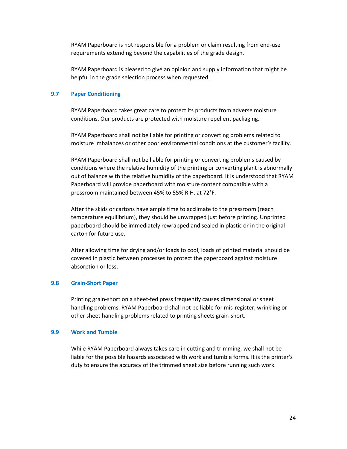RYAM Paperboard is not responsible for a problem or claim resulting from end-use requirements extending beyond the capabilities of the grade design.

RYAM Paperboard is pleased to give an opinion and supply information that might be helpful in the grade selection process when requested.

## **9.7 Paper Conditioning**

RYAM Paperboard takes great care to protect its products from adverse moisture conditions. Our products are protected with moisture repellent packaging.

RYAM Paperboard shall not be liable for printing or converting problems related to moisture imbalances or other poor environmental conditions at the customer's facility.

RYAM Paperboard shall not be liable for printing or converting problems caused by conditions where the relative humidity of the printing or converting plant is abnormally out of balance with the relative humidity of the paperboard. It is understood that RYAM Paperboard will provide paperboard with moisture content compatible with a pressroom maintained between 45% to 55% R.H. at 72°F.

After the skids or cartons have ample time to acclimate to the pressroom (reach temperature equilibrium), they should be unwrapped just before printing. Unprinted paperboard should be immediately rewrapped and sealed in plastic or in the original carton for future use.

After allowing time for drying and/or loads to cool, loads of printed material should be covered in plastic between processes to protect the paperboard against moisture absorption or loss.

## **9.8 Grain-Short Paper**

Printing grain-short on a sheet-fed press frequently causes dimensional or sheet handling problems. RYAM Paperboard shall not be liable for mis-register, wrinkling or other sheet handling problems related to printing sheets grain-short.

## **9.9 Work and Tumble**

While RYAM Paperboard always takes care in cutting and trimming, we shall not be liable for the possible hazards associated with work and tumble forms. It is the printer's duty to ensure the accuracy of the trimmed sheet size before running such work.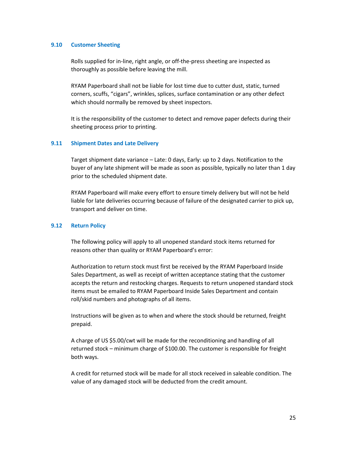## **9.10 Customer Sheeting**

Rolls supplied for in-line, right angle, or off-the-press sheeting are inspected as thoroughly as possible before leaving the mill.

RYAM Paperboard shall not be liable for lost time due to cutter dust, static, turned corners, scuffs, "cigars", wrinkles, splices, surface contamination or any other defect which should normally be removed by sheet inspectors.

It is the responsibility of the customer to detect and remove paper defects during their sheeting process prior to printing.

## **9.11 Shipment Dates and Late Delivery**

Target shipment date variance – Late: 0 days, Early: up to 2 days. Notification to the buyer of any late shipment will be made as soon as possible, typically no later than 1 day prior to the scheduled shipment date.

RYAM Paperboard will make every effort to ensure timely delivery but will not be held liable for late deliveries occurring because of failure of the designated carrier to pick up, transport and deliver on time.

## **9.12 Return Policy**

The following policy will apply to all unopened standard stock items returned for reasons other than quality or RYAM Paperboard's error:

Authorization to return stock must first be received by the RYAM Paperboard Inside Sales Department, as well as receipt of written acceptance stating that the customer accepts the return and restocking charges. Requests to return unopened standard stock items must be emailed to RYAM Paperboard Inside Sales Department and contain roll/skid numbers and photographs of all items.

Instructions will be given as to when and where the stock should be returned, freight prepaid.

A charge of US \$5.00/cwt will be made for the reconditioning and handling of all returned stock – minimum charge of \$100.00. The customer is responsible for freight both ways.

A credit for returned stock will be made for all stock received in saleable condition. The value of any damaged stock will be deducted from the credit amount.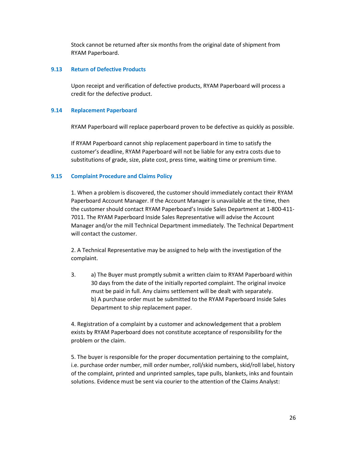Stock cannot be returned after six months from the original date of shipment from RYAM Paperboard.

## **9.13 Return of Defective Products**

Upon receipt and verification of defective products, RYAM Paperboard will process a credit for the defective product.

## **9.14 Replacement Paperboard**

RYAM Paperboard will replace paperboard proven to be defective as quickly as possible.

If RYAM Paperboard cannot ship replacement paperboard in time to satisfy the customer's deadline, RYAM Paperboard will not be liable for any extra costs due to substitutions of grade, size, plate cost, press time, waiting time or premium time.

## **9.15 Complaint Procedure and Claims Policy**

1. When a problem is discovered, the customer should immediately contact their RYAM Paperboard Account Manager. If the Account Manager is unavailable at the time, then the customer should contact RYAM Paperboard's Inside Sales Department at 1-800-411- 7011. The RYAM Paperboard Inside Sales Representative will advise the Account Manager and/or the mill Technical Department immediately. The Technical Department will contact the customer.

2. A Technical Representative may be assigned to help with the investigation of the complaint.

3. a) The Buyer must promptly submit a written claim to RYAM Paperboard within 30 days from the date of the initially reported complaint. The original invoice must be paid in full. Any claims settlement will be dealt with separately. b) A purchase order must be submitted to the RYAM Paperboard Inside Sales Department to ship replacement paper.

4. Registration of a complaint by a customer and acknowledgement that a problem exists by RYAM Paperboard does not constitute acceptance of responsibility for the problem or the claim.

5. The buyer is responsible for the proper documentation pertaining to the complaint, i.e. purchase order number, mill order number, roll/skid numbers, skid/roll label, history of the complaint, printed and unprinted samples, tape pulls, blankets, inks and fountain solutions. Evidence must be sent via courier to the attention of the Claims Analyst: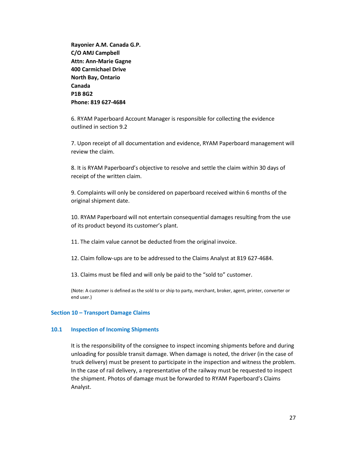**Rayonier A.M. Canada G.P. C/O AMJ Campbell Attn: Ann-Marie Gagne 400 Carmichael Drive North Bay, Ontario Canada P1B 8G2 Phone: 819 627-4684**

6. RYAM Paperboard Account Manager is responsible for collecting the evidence outlined in section 9.2

7. Upon receipt of all documentation and evidence, RYAM Paperboard management will review the claim.

8. It is RYAM Paperboard's objective to resolve and settle the claim within 30 days of receipt of the written claim.

9. Complaints will only be considered on paperboard received within 6 months of the original shipment date.

10. RYAM Paperboard will not entertain consequential damages resulting from the use of its product beyond its customer's plant.

11. The claim value cannot be deducted from the original invoice.

12. Claim follow-ups are to be addressed to the Claims Analyst at 819 627-4684.

13. Claims must be filed and will only be paid to the "sold to" customer.

(Note: A customer is defined as the sold to or ship to party, merchant, broker, agent, printer, converter or end user.)

## **Section 10 – Transport Damage Claims**

#### **10.1 Inspection of Incoming Shipments**

It is the responsibility of the consignee to inspect incoming shipments before and during unloading for possible transit damage. When damage is noted, the driver (in the case of truck delivery) must be present to participate in the inspection and witness the problem. In the case of rail delivery, a representative of the railway must be requested to inspect the shipment. Photos of damage must be forwarded to RYAM Paperboard's Claims Analyst.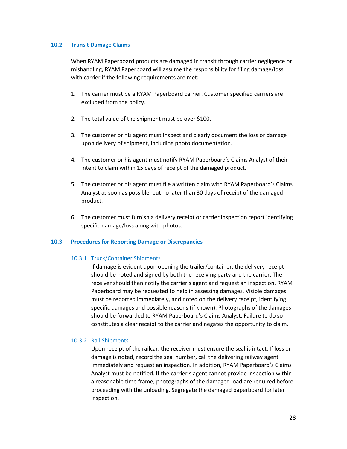## **10.2 Transit Damage Claims**

When RYAM Paperboard products are damaged in transit through carrier negligence or mishandling, RYAM Paperboard will assume the responsibility for filing damage/loss with carrier if the following requirements are met:

- 1. The carrier must be a RYAM Paperboard carrier. Customer specified carriers are excluded from the policy.
- 2. The total value of the shipment must be over \$100.
- 3. The customer or his agent must inspect and clearly document the loss or damage upon delivery of shipment, including photo documentation.
- 4. The customer or his agent must notify RYAM Paperboard's Claims Analyst of their intent to claim within 15 days of receipt of the damaged product.
- 5. The customer or his agent must file a written claim with RYAM Paperboard's Claims Analyst as soon as possible, but no later than 30 days of receipt of the damaged product.
- 6. The customer must furnish a delivery receipt or carrier inspection report identifying specific damage/loss along with photos.

## **10.3 Procedures for Reporting Damage or Discrepancies**

## 10.3.1 Truck/Container Shipments

If damage is evident upon opening the trailer/container, the delivery receipt should be noted and signed by both the receiving party and the carrier. The receiver should then notify the carrier's agent and request an inspection. RYAM Paperboard may be requested to help in assessing damages. Visible damages must be reported immediately, and noted on the delivery receipt, identifying specific damages and possible reasons (if known). Photographs of the damages should be forwarded to RYAM Paperboard's Claims Analyst. Failure to do so constitutes a clear receipt to the carrier and negates the opportunity to claim.

## 10.3.2 Rail Shipments

Upon receipt of the railcar, the receiver must ensure the seal is intact. If loss or damage is noted, record the seal number, call the delivering railway agent immediately and request an inspection. In addition, RYAM Paperboard's Claims Analyst must be notified. If the carrier's agent cannot provide inspection within a reasonable time frame, photographs of the damaged load are required before proceeding with the unloading. Segregate the damaged paperboard for later inspection.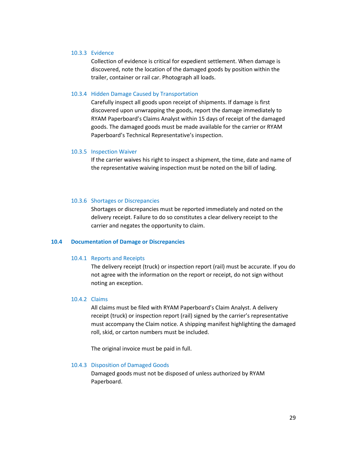#### 10.3.3 Evidence

Collection of evidence is critical for expedient settlement. When damage is discovered, note the location of the damaged goods by position within the trailer, container or rail car. Photograph all loads.

#### 10.3.4 Hidden Damage Caused by Transportation

Carefully inspect all goods upon receipt of shipments. If damage is first discovered upon unwrapping the goods, report the damage immediately to RYAM Paperboard's Claims Analyst within 15 days of receipt of the damaged goods. The damaged goods must be made available for the carrier or RYAM Paperboard's Technical Representative's inspection.

## 10.3.5 Inspection Waiver

If the carrier waives his right to inspect a shipment, the time, date and name of the representative waiving inspection must be noted on the bill of lading.

#### 10.3.6 Shortages or Discrepancies

Shortages or discrepancies must be reported immediately and noted on the delivery receipt. Failure to do so constitutes a clear delivery receipt to the carrier and negates the opportunity to claim.

#### **10.4 Documentation of Damage or Discrepancies**

#### 10.4.1 Reports and Receipts

The delivery receipt (truck) or inspection report (rail) must be accurate. If you do not agree with the information on the report or receipt, do not sign without noting an exception.

#### 10.4.2 Claims

All claims must be filed with RYAM Paperboard's Claim Analyst. A delivery receipt (truck) or inspection report (rail) signed by the carrier's representative must accompany the Claim notice. A shipping manifest highlighting the damaged roll, skid, or carton numbers must be included.

The original invoice must be paid in full.

#### 10.4.3 Disposition of Damaged Goods

Damaged goods must not be disposed of unless authorized by RYAM Paperboard.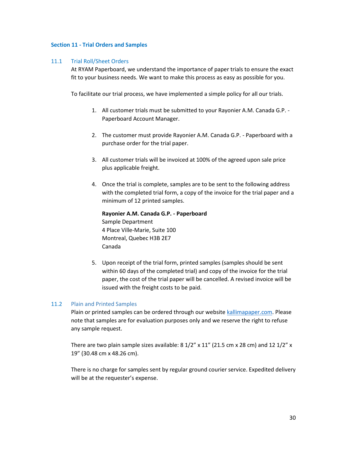## **Section 11 - Trial Orders and Samples**

## 11.1 Trial Roll/Sheet Orders

At RYAM Paperboard, we understand the importance of paper trials to ensure the exact fit to your business needs. We want to make this process as easy as possible for you.

To facilitate our trial process, we have implemented a simple policy for all our trials.

- 1. All customer trials must be submitted to your Rayonier A.M. Canada G.P. Paperboard Account Manager.
- 2. The customer must provide Rayonier A.M. Canada G.P. Paperboard with a purchase order for the trial paper.
- 3. All customer trials will be invoiced at 100% of the agreed upon sale price plus applicable freight.
- 4. Once the trial is complete, samples are to be sent to the following address with the completed trial form, a copy of the invoice for the trial paper and a minimum of 12 printed samples.

```
Rayonier A.M. Canada G.P. - Paperboard 
Sample Department
4 Place Ville-Marie, Suite 100
Montreal, Quebec H3B 2E7
Canada
```
5. Upon receipt of the trial form, printed samples (samples should be sent within 60 days of the completed trial) and copy of the invoice for the trial paper, the cost of the trial paper will be cancelled. A revised invoice will be issued with the freight costs to be paid.

## 11.2 Plain and Printed Samples

Plain or printed samples can be ordered through our website [kallimapaper.com.](http://www.kallimapaper.com/) Please note that samples are for evaluation purposes only and we reserve the right to refuse any sample request.

There are two plain sample sizes available:  $8\frac{1}{2}$  x  $11$ " (21.5 cm x 28 cm) and 12  $\frac{1}{2}$ " x 19" (30.48 cm x 48.26 cm).

There is no charge for samples sent by regular ground courier service. Expedited delivery will be at the requester's expense.